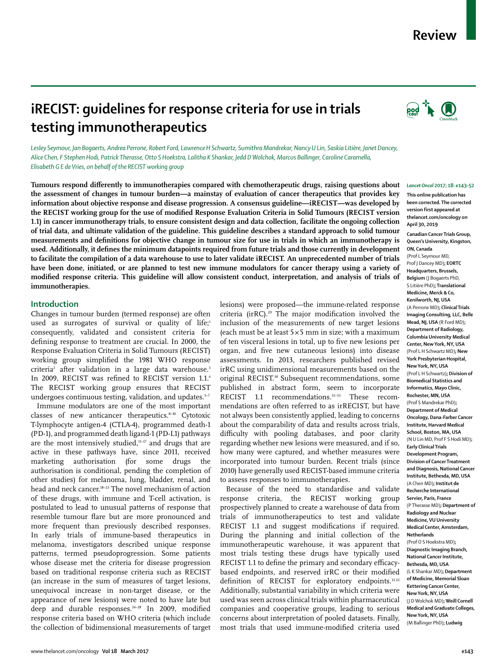## **Review**

# **iRECIST: guidelines for response criteria for use in trials testing immunotherapeutics**

*Lesley Seymour, Jan Bogaerts, Andrea Perrone, Robert Ford, Lawrence H Schwartz, Sumithra Mandrekar, Nancy U Lin, Saskia Litière, Janet Dancey, Alice Chen, F Stephen Hodi, Patrick Therasse, Otto S Hoekstra, Lalitha K Shankar, Jedd D Wolchok, Marcus Ballinger, Caroline Caramella, Elisabeth G E de Vries, on behalf of the RECIST working group*

**Tumours respond differently to immunotherapies compared with chemotherapeutic drugs, raising questions about the assessment of changes in tumour burden—a mainstay of evaluation of cancer therapeutics that provides key information about objective response and disease progression. A consensus guideline—iRECIST—was developed by the RECIST working group for the use of modified Response Evaluation Criteria in Solid Tumours (RECIST version 1.1) in cancer immunotherapy trials, to ensure consistent design and data collection, facilitate the ongoing collection of trial data, and ultimate validation of the guideline. This guideline describes a standard approach to solid tumour measurements and definitions for objective change in tumour size for use in trials in which an immunotherapy is used. Additionally, it defines the minimum datapoints required from future trials and those currently in development to facilitate the compilation of a data warehouse to use to later validate iRECIST. An unprecedented number of trials**  have been done, initiated, or are planned to test new immune modulators for cancer therapy using a variety of **modified response criteria. This guideline will allow consistent conduct, interpretation, and analysis of trials of immunotherapies.** 

## **Introduction**

Changes in tumour burden (termed response) are often used as surrogates of survival or quality of life;<sup>1</sup> consequently, validated and consistent criteria for defining response to treatment are crucial. In 2000, the Response Evaluation Criteria in Solid Tumours (RECIST) working group simplified the 1981 WHO response criteria<sup>2</sup> after validation in a large data warehouse.<sup>3</sup> In 2009, RECIST was refined to RECIST version 1.1.<sup>4</sup> The RECIST working group ensures that RECIST undergoes continuous testing, validation, and updates.<sup>5-7</sup>

Immune modulators are one of the most important classes of new anticancer therapeutics.<sup>8-10</sup> Cytotoxic T-lymphocyte antigen-4 (CTLA-4), programmed death-1 (PD-1), and programmed death ligand-1 (PD-L1) pathways are the most intensively studied, $11-17$  and drugs that are active in these pathways have, since 2011, received marketing authorisation (for some drugs the authorisation is conditional, pending the completion of other studies) for melanoma, lung, bladder, renal, and head and neck cancer.18–23 The novel mechanism of action of these drugs, with immune and T-cell activation, is postulated to lead to unusual patterns of response that resemble tumour flare but are more pronounced and more frequent than previously described responses. In early trials of immune-based therapeutics in melanoma, investigators described unique response patterns, termed pseudoprogression. Some patients whose disease met the criteria for disease progression based on traditional response criteria such as RECIST (an increase in the sum of measures of target lesions, unequivocal increase in non-target disease, or the appearance of new lesions) were noted to have late but deep and durable responses. $24-28$  In 2009, modified response criteria based on WHO criteria (which include the collection of bidimensional measurements of target lesions) were proposed—the immune-related response criteria (irRC).29 The major modification involved the inclusion of the measurements of new target lesions (each must be at least  $5\times 5$  mm in size; with a maximum of ten visceral lesions in total, up to five new lesions per organ, and five new cutaneous lesions) into disease assessments. In 2013, researchers published revised irRC using unidimensional measurements based on the original RECIST.<sup>30</sup> Subsequent recommendations, some published in abstract form, seem to incorporate RECIST 1.1 recommendations.<sup>31-33</sup> These recommendations are often referred to as irRECIST, but have not always been consistently applied, leading to concerns about the comparability of data and results across trials, difficulty with pooling databases, and poor clarity regarding whether new lesions were measured, and if so, how many were captured, and whether measures were incorporated into tumour burden. Recent trials (since 2010) have generally used RECIST-based immune criteria to assess responses to immunotherapies.

Because of the need to standardise and validate response criteria, the RECIST working group prospectively planned to create a warehouse of data from trials of immunotherapeutics to test and validate RECIST 1.1 and suggest modifications if required. During the planning and initial collection of the immunotherapeutic warehouse, it was apparent that most trials testing these drugs have typically used RECIST 1.1 to define the primary and secondary efficacybased endpoints, and reserved irRC or their modified definition of RECIST for exploratory endpoints.<sup>31,32</sup> Additionally, substantial variability in which criteria were used was seen across clinical trials within pharmaceutical companies and cooperative groups, leading to serious concerns about interpretation of pooled datasets. Finally, most trials that used immune-modified criteria used



#### *Lancet Oncol* **2017; 18: e143–52**

**This online publication has been corrected. The corrected version first appeared at thelancet.com/oncology on April 30, 2019** 

**Canadian Cancer Trials Group, Queen's University, Kingston, ON, Canada** 

(Prof L Seymour MD, Prof J Dancey MD)**; EORTC Headquarters, Brussels, Belgium** (J Bogaerts PhD, S Litière PhD)**; Translational Medicine, Merck & Co, Kenilworth, NJ, USA** (A Perrone MD)**; Clinical Trials Imaging Consulting, LLC, Belle Mead, NJ, USA** (R Ford MD)**; Department of Radiology, Columbia University Medical Center, New York, NY, USA**  (Prof L H Schwartz MD)**; New York Presbyterian Hospital, New York, NY, USA** (Prof L H Schwartz)**; Division of Biomedical Statistics and Informatics, Mayo Clinic, Rochester, MN, USA** (Prof S Mandrekar PhD)**; Department of Medical Oncology, Dana-Farber Cancer Institute, Harvard Medical School, Boston, MA, USA** (N U Lin MD, Prof F S Hodi MD)**; Early Clinical Trials Development Program, Division of Cancer Treatment and Diagnosis, National Cancer Institute, Bethesda, MD, USA** (A Chen MD)**; Institut de Recherche International Servier, Paris, France** (P Therasse MD)**; Department of Radiology and Nuclear Medicine, VU University Medical Center, Amsterdam, Netherlands** (Prof O S Hoekstra MD)**; Diagnostic Imaging Branch, National Cancer Institute, Bethesda, MD, USA** (L K Shankar MD)**; Department of Medicine, Memorial Sloan Kettering Cancer Center, New York, NY, USA** (J D Wolchok MD)**; Weill Cornell Medical and Graduate Colleges, New York, NY, USA**  (M Ballinger PhD)**; Ludwig**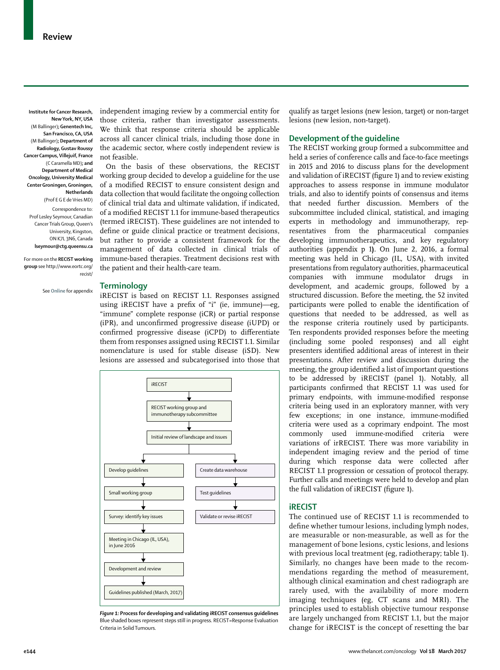**Institute for Cancer Research, New York, NY, USA**  (M Ballinger)**; Genentech Inc, San Francisco, CA, USA** (M Ballinger)**; Department of Radiology, Gustav Roussy Cancer Campus, Villejuif, France** (C Caramella MD)**; and Department of Medical Oncology, University Medical Center Groningen, Groningen, Netherlands** (Prof E G E de Vries MD)

Correspondence to: Prof Lesley Seymour, Canadian Cancer Trials Group, Queen's University, Kingston, ON K7L 3N6, Canada **lseymour@ctg.queensu.ca**

For more on the **RECIST working group** see http://www.eortc.org/ recist/

See **Online** for appendix

independent imaging review by a commercial entity for those criteria, rather than investigator assessments. We think that response criteria should be applicable across all cancer clinical trials, including those done in the academic sector, where costly independent review is not feasible.

On the basis of these observations, the RECIST working group decided to develop a guideline for the use of a modified RECIST to ensure consistent design and data collection that would facilitate the ongoing collection of clinical trial data and ultimate validation, if indicated, of a modified RECIST 1.1 for immune-based therapeutics (termed iRECIST). These guidelines are not intended to define or guide clinical practice or treatment decisions, but rather to provide a consistent framework for the management of data collected in clinical trials of immune-based therapies. Treatment decisions rest with the patient and their health-care team.

## **Terminology**

iRECIST is based on RECIST 1.1. Responses assigned using iRECIST have a prefix of "i" (ie, immune)—eg, "immune" complete response (iCR) or partial response (iPR), and unconfirmed progressive disease (iUPD) or confirmed progressive disease (iCPD) to differentiate them from responses assigned using RECIST 1.1. Similar nomenclature is used for stable disease (iSD). New lesions are assessed and subcategorised into those that



*Figure 1:* **Process for developing and validating iRECIST consensus guidelines** Blue shaded boxes represent steps still in progress. RECIST=Response Evaluation Criteria in Solid Tumours.

qualify as target lesions (new lesion, target) or non-target lesions (new lesion, non-target).

## **Development of the guideline**

The RECIST working group formed a subcommittee and held a series of conference calls and face-to-face meetings in 2015 and 2016 to discuss plans for the development and validation of iRECIST (figure 1) and to review existing approaches to assess response in immune modulator trials, and also to identify points of consensus and items that needed further discussion. Members of the subcommittee included clinical, statistical, and imaging experts in methodology and immunotherapy, representatives from the pharmaceutical companies developing immunotherapeutics, and key regulatory authorities (appendix p 1**)**. On June 2, 2016, a formal meeting was held in Chicago (IL, USA), with invited presentations from regulatory authorities, pharmaceutical companies with immune modulator drugs in development, and academic groups, followed by a structured discussion. Before the meeting, the 52 invited participants were polled to enable the identification of questions that needed to be addressed, as well as the response criteria routinely used by participants. Ten respondents provided responses before the meeting (including some pooled responses) and all eight presenters identified additional areas of interest in their presentations. After review and discussion during the meeting, the group identified a list of important questions to be addressed by iRECIST (panel 1). Notably, all participants confirmed that RECIST 1.1 was used for primary endpoints, with immune-modified response criteria being used in an exploratory manner, with very few exceptions; in one instance, immune-modified criteria were used as a coprimary endpoint. The most commonly used immune-modified criteria were variations of irRECIST. There was more variability in independent imaging review and the period of time during which response data were collected after RECIST 1.1 progression or cessation of protocol therapy. Further calls and meetings were held to develop and plan the full validation of iRECIST (figure 1).

## **iRECIST**

The continued use of RECIST 1.1 is recommended to define whether tumour lesions, including lymph nodes, are measurable or non-measurable, as well as for the management of bone lesions, cystic lesions, and lesions with previous local treatment (eg, radiotherapy; table 1). Similarly, no changes have been made to the recommendations regarding the method of measurement, although clinical examination and chest radiograph are rarely used, with the availability of more modern imaging techniques (eg, CT scans and MRI). The principles used to establish objective tumour response are largely unchanged from RECIST 1.1, but the major change for iRECIST is the concept of resetting the bar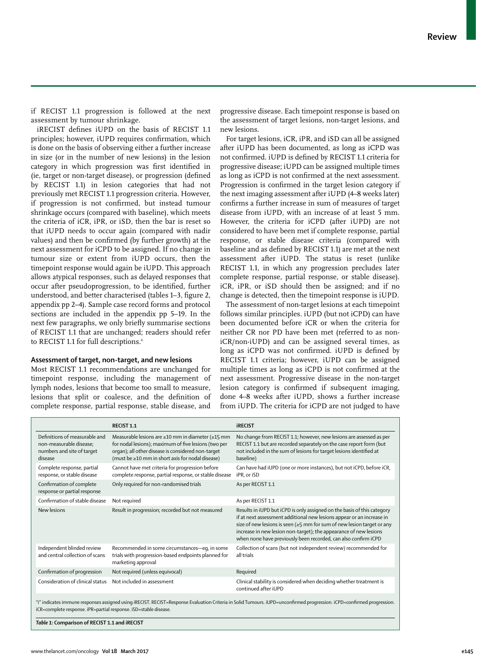if RECIST 1.1 progression is followed at the next assessment by tumour shrinkage.

iRECIST defines iUPD on the basis of RECIST 1.1 principles; however, iUPD requires confirmation, which is done on the basis of observing either a further increase in size (or in the number of new lesions) in the lesion category in which progression was first identified in (ie, target or non-target disease), or progression (defined by RECIST 1.1) in lesion categories that had not previously met RECIST 1.1 progression criteria. However, if progression is not confirmed, but instead tumour shrinkage occurs (compared with baseline), which meets the criteria of iCR, iPR, or iSD, then the bar is reset so that iUPD needs to occur again (compared with nadir values) and then be confirmed (by further growth) at the next assessment for iCPD to be assigned. If no change in tumour size or extent from iUPD occurs, then the timepoint response would again be iUPD. This approach allows atypical responses, such as delayed responses that occur after pseudoprogression, to be identified, further understood, and better characterised (tables 1–3, figure 2, appendix pp 2–4). Sample case record forms and protocol sections are included in the appendix pp 5–19. In the next few paragraphs, we only briefly summarise sections of RECIST 1.1 that are unchanged; readers should refer to RECIST 1.1 for full descriptions.<sup>4</sup>

## **Assessment of target, non-target, and new lesions**

Most RECIST 1.1 recommendations are unchanged for timepoint response, including the management of lymph nodes, lesions that become too small to measure, lesions that split or coalesce, and the definition of complete response, partial response, stable disease, and progressive disease. Each timepoint response is based on the assessment of target lesions, non-target lesions, and new lesions.

For target lesions, iCR, iPR, and iSD can all be assigned after iUPD has been documented, as long as iCPD was not confirmed. iUPD is defined by RECIST 1.1 criteria for progressive disease; iUPD can be assigned multiple times as long as iCPD is not confirmed at the next assessment. Progression is confirmed in the target lesion category if the next imaging assessment after iUPD (4–8 weeks later) confirms a further increase in sum of measures of target disease from iUPD, with an increase of at least 5 mm. However, the criteria for iCPD (after iUPD) are not considered to have been met if complete response, partial response, or stable disease criteria (compared with baseline and as defined by RECIST 1.1) are met at the next assessment after iUPD. The status is reset (unlike RECIST 1.1, in which any progression precludes later complete response, partial response, or stable disease). iCR, iPR, or iSD should then be assigned; and if no change is detected, then the timepoint response is iUPD.

The assessment of non-target lesions at each timepoint follows similar principles. iUPD (but not iCPD) can have been documented before iCR or when the criteria for neither CR nor PD have been met (referred to as noniCR/non-iUPD) and can be assigned several times, as long as iCPD was not confirmed. iUPD is defined by RECIST 1.1 criteria; however, iUPD can be assigned multiple times as long as iCPD is not confirmed at the next assessment. Progressive disease in the non-target lesion category is confirmed if subsequent imaging, done 4–8 weeks after iUPD, shows a further increase from iUPD. The criteria for iCPD are not judged to have

|                                                                                                   | RECIST 1.1                                                                                                                                                                                                          | <b>IRECIST</b>                                                                                                                                                                                                                                                                                                                                                           |  |
|---------------------------------------------------------------------------------------------------|---------------------------------------------------------------------------------------------------------------------------------------------------------------------------------------------------------------------|--------------------------------------------------------------------------------------------------------------------------------------------------------------------------------------------------------------------------------------------------------------------------------------------------------------------------------------------------------------------------|--|
| Definitions of measurable and<br>non-measurable disease;<br>numbers and site of target<br>disease | Measurable lesions are ≥10 mm in diameter (≥15 mm<br>for nodal lesions); maximum of five lesions (two per<br>organ); all other disease is considered non-target<br>(must be ≥10 mm in short axis for nodal disease) | No change from RECIST 1.1; however, new lesions are assessed as per<br>RECIST 1.1 but are recorded separately on the case report form (but<br>not included in the sum of lesions for target lesions identified at<br>baseline)                                                                                                                                           |  |
| Complete response, partial<br>response, or stable disease                                         | Cannot have met criteria for progression before<br>complete response, partial response, or stable disease                                                                                                           | Can have had iUPD (one or more instances), but not iCPD, before iCR,<br>iPR. or iSD                                                                                                                                                                                                                                                                                      |  |
| Confirmation of complete<br>response or partial response                                          | Only required for non-randomised trials                                                                                                                                                                             | As per RECIST 1.1                                                                                                                                                                                                                                                                                                                                                        |  |
| Confirmation of stable disease                                                                    | Not required                                                                                                                                                                                                        | As per RECIST 1.1                                                                                                                                                                                                                                                                                                                                                        |  |
| New lesions                                                                                       | Result in progression; recorded but not measured                                                                                                                                                                    | Results in iUPD but iCPD is only assigned on the basis of this category<br>if at next assessment additional new lesions appear or an increase in<br>size of new lesions is seen ( $\geq$ 5 mm for sum of new lesion target or any<br>increase in new lesion non-target); the appearance of new lesions<br>when none have previously been recorded, can also confirm iCPD |  |
| Independent blinded review<br>and central collection of scans                                     | Recommended in some circumstances-eq, in some<br>trials with progression-based endpoints planned for<br>marketing approval                                                                                          | Collection of scans (but not independent review) recommended for<br>all trials                                                                                                                                                                                                                                                                                           |  |
| Confirmation of progression                                                                       | Not required (unless equivocal)                                                                                                                                                                                     | Required                                                                                                                                                                                                                                                                                                                                                                 |  |
| Consideration of clinical status                                                                  | Not included in assessment                                                                                                                                                                                          | Clinical stability is considered when deciding whether treatment is<br>continued after iUPD                                                                                                                                                                                                                                                                              |  |
|                                                                                                   |                                                                                                                                                                                                                     |                                                                                                                                                                                                                                                                                                                                                                          |  |

"i" indicates immune responses assigned using iRECIST. RECIST=Response Evaluation Criteria in Solid Tumours. iUPD=unconfirmed progression. iCPD=confirmed progression. iCR=complete response. iPR=partial response. iSD=stable disease.

*Table 1:* **Comparison of RECIST 1.1 and iRECIST**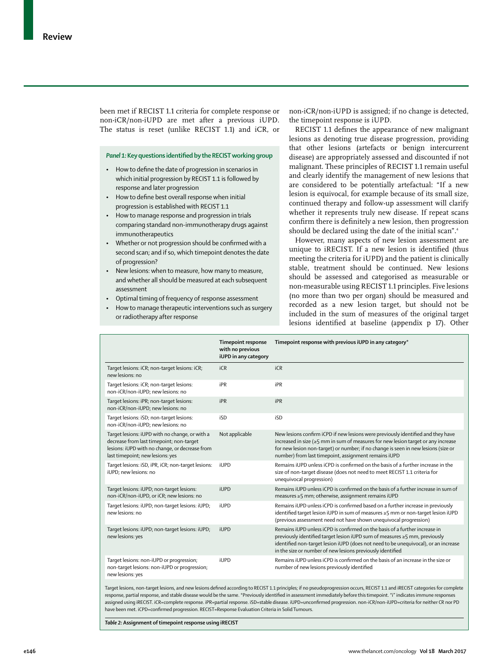been met if RECIST 1.1 criteria for complete response or non-iCR/non-iUPD are met after a previous iUPD. The status is reset (unlike RECIST 1.1) and iCR, or

## *Panel 1:* **Key questions identified by the RECIST working group**

- How to define the date of progression in scenarios in which initial progression by RECIST 1.1 is followed by response and later progression
- How to define best overall response when initial progression is established with RECIST 1.1
- How to manage response and progression in trials comparing standard non-immunotherapy drugs against immunotherapeutics
- Whether or not progression should be confirmed with a second scan; and if so, which timepoint denotes the date of progression?
- New lesions: when to measure, how many to measure, and whether all should be measured at each subsequent accoment
- Optimal timing of frequency of response assessment
- How to manage therapeutic interventions such as surgery or radiotherapy after response

non-iCR/non-iUPD is assigned; if no change is detected, the timepoint response is iUPD.

RECIST 1.1 defines the appearance of new malignant lesions as denoting true disease progression, providing that other lesions (artefacts or benign intercurrent disease) are appropriately assessed and discounted if not malignant. These principles of RECIST 1.1 remain useful and clearly identify the management of new lesions that are considered to be potentially artefactual: "If a new lesion is equivocal, for example because of its small size, continued therapy and follow-up assessment will clarify whether it represents truly new disease. If repeat scans confirm there is definitely a new lesion, then progression should be declared using the date of the initial scan".<sup>4</sup>

However, many aspects of new lesion assessment are unique to iRECIST. If a new lesion is identified (thus meeting the criteria for iUPD) and the patient is clinically stable, treatment should be continued. New lesions should be assessed and categorised as measurable or non-measurable using RECIST 1.1 principles. Five lesions (no more than two per organ) should be measured and recorded as a new lesion target, but should not be included in the sum of measures of the original target lesions identified at baseline (appendix p 17). Other

|                                                                                                                                                                                  | <b>Timepoint response</b><br>with no previous<br>iUPD in any category | Timepoint response with previous iUPD in any category*                                                                                                                                                                                                                                                                                                  |
|----------------------------------------------------------------------------------------------------------------------------------------------------------------------------------|-----------------------------------------------------------------------|---------------------------------------------------------------------------------------------------------------------------------------------------------------------------------------------------------------------------------------------------------------------------------------------------------------------------------------------------------|
| Target lesions: iCR; non-target lesions: iCR;<br>new lesions: no                                                                                                                 | iCR                                                                   | iCR                                                                                                                                                                                                                                                                                                                                                     |
| Target lesions: iCR; non-target lesions:<br>non-iCR/non-iUPD; new lesions: no                                                                                                    | iPR                                                                   | iPR                                                                                                                                                                                                                                                                                                                                                     |
| Target lesions: iPR; non-target lesions:<br>non-iCR/non-iUPD; new lesions: no                                                                                                    | iPR                                                                   | <b>iPR</b>                                                                                                                                                                                                                                                                                                                                              |
| Target lesions: iSD; non-target lesions:<br>non-iCR/non-iUPD; new lesions: no                                                                                                    | iSD                                                                   | iSD                                                                                                                                                                                                                                                                                                                                                     |
| Target lesions: iUPD with no change, or with a<br>decrease from last timepoint; non-target<br>lesions: iUPD with no change, or decrease from<br>last timepoint; new lesions: yes | Not applicable                                                        | New lesions confirm iCPD if new lesions were previously identified and they have<br>increased in size (≥5 mm in sum of measures for new lesion target or any increase<br>for new lesion non-target) or number; if no change is seen in new lesions (size or<br>number) from last timepoint, assignment remains iUPD                                     |
| Target lesions: iSD, iPR, iCR; non-target lesions:<br>iUPD; new lesions: no                                                                                                      | iUPD                                                                  | Remains iUPD unless iCPD is confirmed on the basis of a further increase in the<br>size of non-target disease (does not need to meet RECIST 1.1 criteria for<br>unequivocal progression)                                                                                                                                                                |
| Target lesions: iUPD; non-target lesions:<br>non-iCR/non-iUPD, or iCR; new lesions: no                                                                                           | <b>iUPD</b>                                                           | Remains iUPD unless iCPD is confirmed on the basis of a further increase in sum of<br>measures ≥5 mm; otherwise, assignment remains iUPD                                                                                                                                                                                                                |
| Target lesions: iUPD; non-target lesions: iUPD;<br>new lesions: no                                                                                                               | iUPD                                                                  | Remains iUPD unless iCPD is confirmed based on a further increase in previously<br>identified target lesion iUPD in sum of measures ≥5 mm or non-target lesion iUPD<br>(previous assessment need not have shown unequivocal progression)                                                                                                                |
| Target lesions: iUPD; non-target lesions: iUPD;<br>new lesions: yes                                                                                                              | <b>iUPD</b>                                                           | Remains iUPD unless iCPD is confirmed on the basis of a further increase in<br>previously identified target lesion iUPD sum of measures ≥5 mm, previously<br>identified non-target lesion iUPD (does not need to be unequivocal), or an increase<br>in the size or number of new lesions previously identified                                          |
| Target lesions: non-iUPD or progression;<br>non-target lesions: non-iUPD or progression;<br>new lesions: yes                                                                     | iUPD                                                                  | Remains iUPD unless iCPD is confirmed on the basis of an increase in the size or<br>number of new lesions previously identified                                                                                                                                                                                                                         |
|                                                                                                                                                                                  |                                                                       | Target lesions, non-target lesions, and new lesions defined according to RECIST 1.1 principles; if no pseudoprogression occurs, RECIST 1.1 and iRECIST categories for complete<br>recognes partial recognes, and stable disease would be the same. *Proviewby identified in associated immediately before this timenoint. "i" indicates immune respects |

response, partial response, and stable disease would be the same. \*Previously identified in assessment immediately before this timepoint. "i" indicates immune responses assigned using iRECIST. iCR=complete response. iPR=partial response. iSD=stable disease. iUPD=unconfirmed progression. non-iCR/non-iUPD=criteria for neither CR nor PD have been met. iCPD=confirmed progression. RECIST=Response Evaluation Criteria in Solid Tumours.

*Table 2:* **Assignment of timepoint response using iRECIST**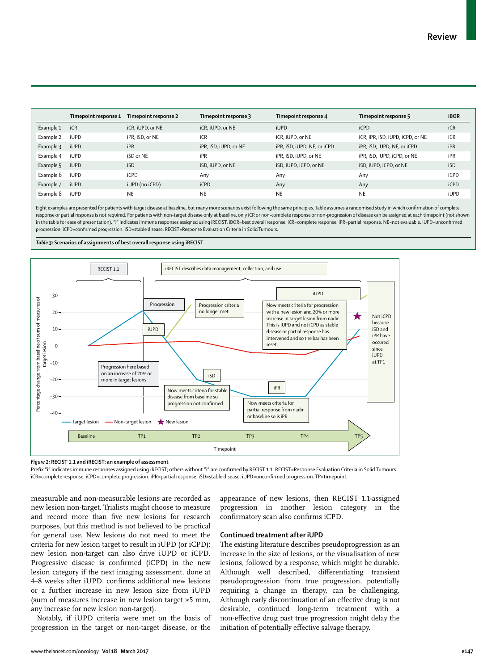|           | Timepoint response 1 | Timepoint response 2 | Timepoint response 3  | Timepoint response 4        | Timepoint response 5             | <b>iBOR</b> |
|-----------|----------------------|----------------------|-----------------------|-----------------------------|----------------------------------|-------------|
| Example 1 | iCR                  | iCR, iUPD, or NE     | iCR, iUPD, or NE      | <b>iUPD</b>                 | <b>iCPD</b>                      | iCR         |
| Example 2 | <b>iUPD</b>          | iPR, iSD, or NE      | iCR                   | iCR, iUPD, or NE            | iCR, iPR, iSD, iUPD, iCPD, or NE | iCR         |
| Example 3 | <b>iUPD</b>          | iPR                  | iPR, iSD, iUPD, or NE | iPR, iSD, iUPD, NE, or iCPD | iPR, iSD, iUPD, NE, or iCPD      | iPR         |
| Example 4 | <b>iUPD</b>          | iSD or NE            | iPR                   | iPR, iSD, iUPD, or NE       | iPR, iSD, iUPD, iCPD, or NE      | iPR         |
| Example 5 | <b>iUPD</b>          | iSD                  | iSD, iUPD, or NE      | iSD, iUPD, iCPD, or NE      | iSD, iUPD, iCPD, or NE           | iSD         |
| Example 6 | iUPD                 | iCPD                 | Anv                   | Anv                         | Anv                              | <b>iCPD</b> |
| Example 7 | <b>iUPD</b>          | iUPD (no iCPD)       | <b>iCPD</b>           | Any                         | Any                              | iCPD        |
| Example 8 | iUPD                 | <b>NE</b>            | <b>NE</b>             | <b>NE</b>                   | <b>NE</b>                        | <b>iUPD</b> |

Eight examples are presented for patients with target disease at baseline, but many more scenarios exist following the same principles. Table assumes a randomised study in which confirmation of complete response or partial response is not required. For patients with non-target disease only at baseline, only iCR or non-complete response or non-progression of disease can be assigned at each timepoint (not shown in the table for ease of presentation). "i" indicates immune responses assigned using iRECIST. iBOR=best overall response. iCR=complete response. iPR=partial response. NE=not evaluable. iUPD=unconfirmed progression. iCPD=confirmed progression. iSD=stable disease. RECIST=Response Evaluation Criteria in Solid Tumours.

*Table 3:* **Scenarios of assignments of best overall response using iRECIST**



*Figure 2:* **RECIST 1.1 and iRECIST: an example of assessment**

Prefix "i" indicates immune responses assigned using iRECIST; others without "i" are confirmed by RECIST 1.1. RECIST=Response Evaluation Criteria in Solid Tumours. iCR=complete response. iCPD=complete progression. iPR=partial response. iSD=stable disease. iUPD=unconfirmed progression. TP=timepoint.

measurable and non-measurable lesions are recorded as new lesion non-target. Trialists might choose to measure and record more than five new lesions for research purposes, but this method is not believed to be practical for general use. New lesions do not need to meet the criteria for new lesion target to result in iUPD (or iCPD); new lesion non-target can also drive iUPD or iCPD. Progressive disease is confirmed (iCPD) in the new lesion category if the next imaging assessment, done at 4–8 weeks after iUPD, confirms additional new lesions or a further increase in new lesion size from iUPD (sum of measures increase in new lesion target ≥5 mm, any increase for new lesion non-target).

Notably, if iUPD criteria were met on the basis of progression in the target or non-target disease, or the appearance of new lesions, then RECIST 1.1-assigned progression in another lesion category in the confirmatory scan also confirms iCPD.

## **Continued treatment after iUPD**

The existing literature describes pseudoprogression as an increase in the size of lesions, or the visualisation of new lesions, followed by a response, which might be durable. Although well described, differentiating transient pseudoprogression from true progression, potentially requiring a change in therapy, can be challenging. Although early discontinuation of an effective drug is not desirable, continued long-term treatment with a non-effective drug past true progression might delay the initiation of potentially effective salvage therapy.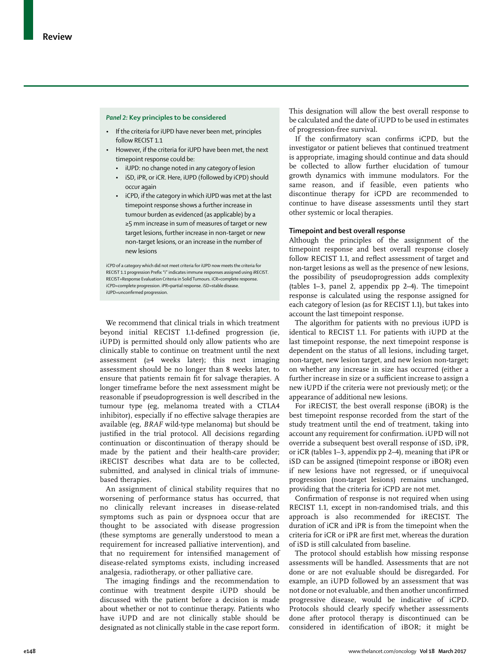#### *Panel 2:* **Key principles to be considered**

- If the criteria for iUPD have never been met, principles follow RECIST 1.1
- However, if the criteria for iUPD have been met, the next timepoint response could be:
	- iUPD: no change noted in any category of lesion
	- iSD, iPR, or iCR. Here, iUPD (followed by iCPD) should occur again
	- iCPD, if the category in which iUPD was met at the last timepoint response shows a further increase in tumour burden as evidenced (as applicable) by a ≥5 mm increase in sum of measures of target or new target lesions, further increase in non-target or new non-target lesions, or an increase in the number of new lesions

iCPD of a category which did not meet criteria for iUPD now meets the criteria for RECIST 1.1 progression Prefix "i" indicates immune responses assigned using iRECIST. RECIST=Response Evaluation Criteria in Solid Tumours. iCR=complete response. iCPD=complete progression. iPR=partial response. iSD=stable disease. iUPD=unconfirmed progression.

We recommend that clinical trials in which treatment beyond initial RECIST 1.1-defined progression (ie, iUPD) is permitted should only allow patients who are clinically stable to continue on treatment until the next assessment (≥4 weeks later); this next imaging assessment should be no longer than 8 weeks later, to ensure that patients remain fit for salvage therapies. A longer timeframe before the next assessment might be reasonable if pseudoprogression is well described in the tumour type (eg, melanoma treated with a CTLA4 inhibitor), especially if no effective salvage therapies are available (eg, *BRAF* wild-type melanoma) but should be justified in the trial protocol. All decisions regarding continuation or discontinuation of therapy should be made by the patient and their health-care provider; iRECIST describes what data are to be collected, submitted, and analysed in clinical trials of immunebased therapies.

An assignment of clinical stability requires that no worsening of performance status has occurred, that no clinically relevant increases in disease-related symptoms such as pain or dyspnoea occur that are thought to be associated with disease progression (these symptoms are generally understood to mean a requirement for increased palliative intervention), and that no requirement for intensified management of disease-related symptoms exists, including increased analgesia, radiotherapy, or other palliative care.

The imaging findings and the recommendation to continue with treatment despite iUPD should be discussed with the patient before a decision is made about whether or not to continue therapy. Patients who have iUPD and are not clinically stable should be designated as not clinically stable in the case report form.

This designation will allow the best overall response to be calculated and the date of iUPD to be used in estimates of progression-free survival.

If the confirmatory scan confirms iCPD, but the investigator or patient believes that continued treatment is appropriate, imaging should continue and data should be collected to allow further elucidation of tumour growth dynamics with immune modulators. For the same reason, and if feasible, even patients who discontinue therapy for iCPD are recommended to continue to have disease assessments until they start other systemic or local therapies.

## **Timepoint and best overall response**

Although the principles of the assignment of the timepoint response and best overall response closely follow RECIST 1.1, and reflect assessment of target and non-target lesions as well as the presence of new lesions, the possibility of pseudoprogression adds complexity (tables 1–3, panel 2, appendix pp 2–4). The timepoint response is calculated using the response assigned for each category of lesion (as for RECIST 1.1), but takes into account the last timepoint response.

The algorithm for patients with no previous iUPD is identical to RECIST 1.1. For patients with iUPD at the last timepoint response, the next timepoint response is dependent on the status of all lesions, including target, non-target, new lesion target, and new lesion non-target; on whether any increase in size has occurred (either a further increase in size or a sufficient increase to assign a new iUPD if the criteria were not previously met); or the appearance of additional new lesions.

For iRECIST, the best overall response (iBOR) is the best timepoint response recorded from the start of the study treatment until the end of treatment, taking into account any requirement for confirmation. iUPD will not override a subsequent best overall response of iSD, iPR, or iCR (tables 1–3, appendix pp 2–4), meaning that iPR or iSD can be assigned (timepoint response or iBOR) even if new lesions have not regressed, or if unequivocal progression (non-target lesions) remains unchanged, providing that the criteria for iCPD are not met.

Confirmation of response is not required when using RECIST 1.1, except in non-randomised trials, and this approach is also recommended for iRECIST. The duration of iCR and iPR is from the timepoint when the criteria for iCR or iPR are first met, whereas the duration of iSD is still calculated from baseline.

The protocol should establish how missing response assessments will be handled. Assessments that are not done or are not evaluable should be disregarded. For example, an iUPD followed by an assessment that was not done or not evaluable, and then another unconfirmed progressive disease, would be indicative of iCPD. Protocols should clearly specify whether assessments done after protocol therapy is discontinued can be considered in identification of iBOR; it might be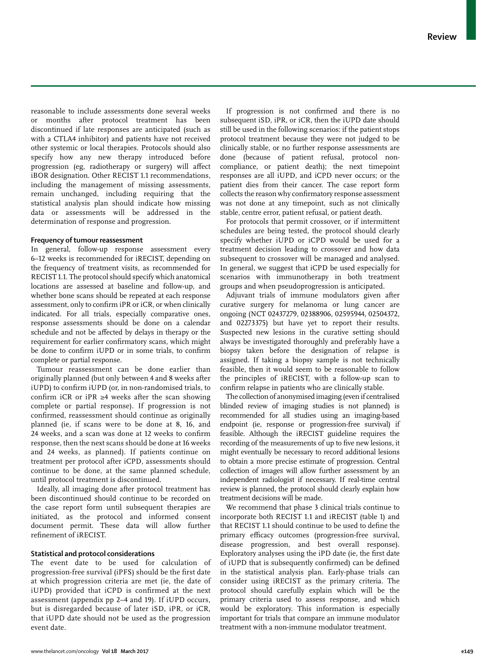reasonable to include assessments done several weeks or months after protocol treatment has been discontinued if late responses are anticipated (such as with a CTLA4 inhibitor) and patients have not received other systemic or local therapies. Protocols should also specify how any new therapy introduced before progression (eg, radiotherapy or surgery) will affect iBOR designation. Other RECIST 1.1 recommendations, including the management of missing assessments, remain unchanged, including requiring that the statistical analysis plan should indicate how missing data or assessments will be addressed in the determination of response and progression.

## **Frequency of tumour reassessment**

In general, follow-up response assessment every 6–12 weeks is recommended for iRECIST, depending on the frequency of treatment visits, as recommended for RECIST 1.1. The protocol should specify which anatomical locations are assessed at baseline and follow-up, and whether bone scans should be repeated at each response assessment, only to confirm iPR or iCR, or when clinically indicated. For all trials, especially comparative ones, response assessments should be done on a calendar schedule and not be affected by delays in therapy or the requirement for earlier confirmatory scans, which might be done to confirm iUPD or in some trials, to confirm complete or partial response.

Tumour reassessment can be done earlier than originally planned (but only between 4 and 8 weeks after iUPD) to confirm iUPD (or, in non-randomised trials, to confirm iCR or iPR  $\geq 4$  weeks after the scan showing complete or partial response). If progression is not confirmed, reassessment should continue as originally planned (ie, if scans were to be done at 8, 16, and 24 weeks, and a scan was done at 12 weeks to confirm response, then the next scans should be done at 16 weeks and 24 weeks, as planned). If patients continue on treatment per protocol after iCPD, assessments should continue to be done, at the same planned schedule, until protocol treatment is discontinued.

Ideally, all imaging done after protocol treatment has been discontinued should continue to be recorded on the case report form until subsequent therapies are initiated, as the protocol and informed consent document permit. These data will allow further refinement of iRECIST.

## **Statistical and protocol considerations**

The event date to be used for calculation of progression-free survival (iPFS) should be the first date at which progression criteria are met (ie, the date of iUPD) provided that iCPD is confirmed at the next assessment (appendix pp 2–4 and 19). If iUPD occurs, but is disregarded because of later iSD, iPR, or iCR, that iUPD date should not be used as the progression event date.

If progression is not confirmed and there is no subsequent iSD, iPR, or iCR, then the iUPD date should still be used in the following scenarios: if the patient stops protocol treatment because they were not judged to be clinically stable, or no further response assessments are done (because of patient refusal, protocol noncompliance, or patient death); the next timepoint responses are all iUPD, and iCPD never occurs; or the patient dies from their cancer. The case report form collects the reason why confirmatory response assessment was not done at any timepoint, such as not clinically stable, centre error, patient refusal, or patient death.

For protocols that permit crossover, or if intermittent schedules are being tested, the protocol should clearly specify whether iUPD or iCPD would be used for a treatment decision leading to crossover and how data subsequent to crossover will be managed and analysed. In general, we suggest that iCPD be used especially for scenarios with immunotherapy in both treatment groups and when pseudoprogression is anticipated.

Adjuvant trials of immune modulators given after curative surgery for melanoma or lung cancer are ongoing (NCT 02437279, 02388906, 02595944, 02504372, and 02273375) but have yet to report their results. Suspected new lesions in the curative setting should always be investigated thoroughly and preferably have a biopsy taken before the designation of relapse is assigned. If taking a biopsy sample is not technically feasible, then it would seem to be reasonable to follow the principles of iRECIST, with a follow-up scan to confirm relapse in patients who are clinically stable.

The collection of anonymised imaging (even if centralised blinded review of imaging studies is not planned) is recommended for all studies using an imaging-based endpoint (ie, response or progression-free survival) if feasible. Although the iRECIST guideline requires the recording of the measurements of up to five new lesions, it might eventually be necessary to record additional lesions to obtain a more precise estimate of progression. Central collection of images will allow further assessment by an independent radiologist if necessary. If real-time central review is planned, the protocol should clearly explain how treatment decisions will be made.

We recommend that phase 3 clinical trials continue to incorporate both RECIST 1.1 and iRECIST (table 1) and that RECIST 1.1 should continue to be used to define the primary efficacy outcomes (progression-free survival, disease progression, and best overall response). Exploratory analyses using the iPD date (ie, the first date of iUPD that is subsequently confirmed) can be defined in the statistical analysis plan. Early-phase trials can consider using iRECIST as the primary criteria. The protocol should carefully explain which will be the primary criteria used to assess response, and which would be exploratory. This information is especially important for trials that compare an immune modulator treatment with a non-immune modulator treatment.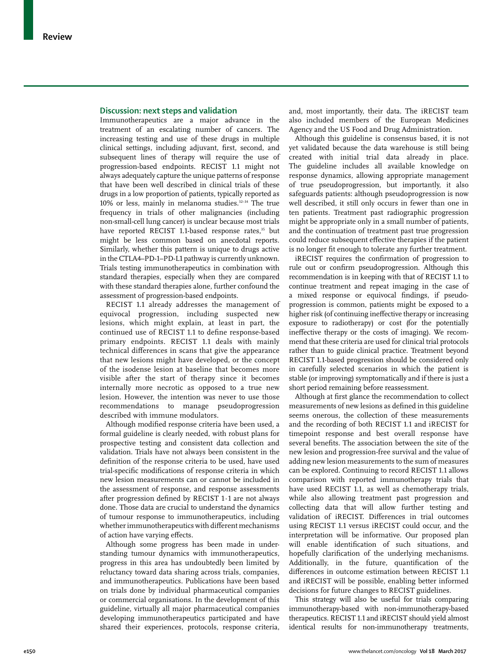## **Discussion: next steps and validation**

Immunotherapeutics are a major advance in the treatment of an escalating number of cancers. The increasing testing and use of these drugs in multiple clinical settings, including adjuvant, first, second, and subsequent lines of therapy will require the use of progression-based endpoints. RECIST 1.1 might not always adequately capture the unique patterns of response that have been well described in clinical trials of these drugs in a low proportion of patients, typically reported as 10% or less, mainly in melanoma studies.<sup>32-34</sup> The true frequency in trials of other malignancies (including non-small-cell lung cancer) is unclear because most trials have reported RECIST 1.1-based response rates,<sup>35</sup> but might be less common based on anecdotal reports. Similarly, whether this pattern is unique to drugs active in the CTLA4–PD-1–PD-L1 pathway is currently unknown. Trials testing immunotherapeutics in combination with standard therapies, especially when they are compared with these standard therapies alone, further confound the assessment of progression-based endpoints.

RECIST 1.1 already addresses the management of equivocal progression, including suspected new lesions, which might explain, at least in part, the continued use of RECIST 1.1 to define response-based primary endpoints. RECIST 1.1 deals with mainly technical differences in scans that give the appearance that new lesions might have developed, or the concept of the isodense lesion at baseline that becomes more visible after the start of therapy since it becomes internally more necrotic as opposed to a true new lesion. However, the intention was never to use those recommendations to manage pseudoprogression described with immune modulators.

Although modified response criteria have been used, a formal guideline is clearly needed, with robust plans for prospective testing and consistent data collection and validation. Trials have not always been consistent in the definition of the response criteria to be used, have used trial-specific modifications of response criteria in which new lesion measurements can or cannot be included in the assessment of response, and response assessments after progression defined by RECIST 1·1 are not always done. Those data are crucial to understand the dynamics of tumour response to immunotherapeutics, including whether immunotherapeutics with different mechanisms of action have varying effects.

Although some progress has been made in understanding tumour dynamics with immunotherapeutics, progress in this area has undoubtedly been limited by reluctancy toward data sharing across trials, companies, and immunotherapeutics. Publications have been based on trials done by individual pharmaceutical companies or commercial organisations. In the development of this guideline, virtually all major pharmaceutical companies developing immunotherapeutics participated and have shared their experiences, protocols, response criteria, and, most importantly, their data. The iRECIST team also included members of the European Medicines Agency and the US Food and Drug Administration.

Although this guideline is consensus based, it is not yet validated because the data warehouse is still being created with initial trial data already in place. The guideline includes all available knowledge on response dynamics, allowing appropriate management of true pseudoprogression, but importantly, it also safeguards patients: although pseudoprogression is now well described, it still only occurs in fewer than one in ten patients. Treatment past radiographic progression might be appropriate only in a small number of patients, and the continuation of treatment past true progression could reduce subsequent effective therapies if the patient is no longer fit enough to tolerate any further treatment.

iRECIST requires the confirmation of progression to rule out or confirm pseudoprogression. Although this recommendation is in keeping with that of RECIST 1.1 to continue treatment and repeat imaging in the case of a mixed response or equivocal findings, if pseudoprogression is common, patients might be exposed to a higher risk (of continuing ineffective therapy or increasing exposure to radiotherapy) or cost (for the potentially ineffective therapy or the costs of imaging). We recommend that these criteria are used for clinical trial protocols rather than to guide clinical practice. Treatment beyond RECIST 1.1-based progression should be considered only in carefully selected scenarios in which the patient is stable (or improving) symptomatically and if there is just a short period remaining before reassessment.

Although at first glance the recommendation to collect measurements of new lesions as defined in this guideline seems onerous, the collection of these measurements and the recording of both RECIST 1.1 and iRECIST for timepoint response and best overall response have several benefits. The association between the site of the new lesion and progression-free survival and the value of adding new lesion measurements to the sum of measures can be explored. Continuing to record RECIST 1.1 allows comparison with reported immunotherapy trials that have used RECIST 1.1, as well as chemotherapy trials, while also allowing treatment past progression and collecting data that will allow further testing and validation of iRECIST. Differences in trial outcomes using RECIST 1.1 versus iRECIST could occur, and the interpretation will be informative. Our proposed plan will enable identification of such situations, and hopefully clarification of the underlying mechanisms. Additionally, in the future, quantification of the differences in outcome estimation between RECIST 1.1 and iRECIST will be possible, enabling better informed decisions for future changes to RECIST guidelines.

This strategy will also be useful for trials comparing immunotherapy-based with non-immunotherapy-based therapeutics. RECIST 1.1 and iRECIST should yield almost identical results for non-immunotherapy treatments,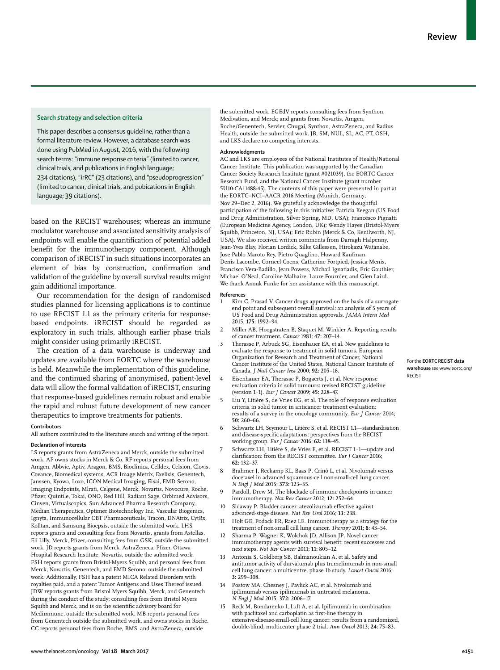#### **Search strategy and selection criteria**

This paper describes a consensus guideline, rather than a formal literature review. However, a database search was done using PubMed in August, 2016, with the following search terms: "immune response criteria" (limited to cancer, clinical trials, and publications in English language; 234 citations), "irRC" (23 citations), and "pseudoprogression" (limited to cancer, clinical trials, and pubications in English language; 39 citations).

based on the RECIST warehouses; whereas an immune modulator warehouse and associated sensitivity analysis of endpoints will enable the quantification of potential added benefit for the immunotherapy component. Although comparison of iRECIST in such situations incorporates an element of bias by construction, confirmation and validation of the guideline by overall survival results might gain additional importance.

Our recommendation for the design of randomised studies planned for licensing applications is to continue to use RECIST 1.1 as the primary criteria for responsebased endpoints. iRECIST should be regarded as exploratory in such trials, although earlier phase trials might consider using primarily iRECIST.

The creation of a data warehouse is underway and updates are available from [EORTC](www.eortc.org/RECIST) where the warehouse is held. Meanwhile the implementation of this guideline, and the continued sharing of anonymised, patient-level data will allow the formal validation of iRECIST, ensuring that response-based guidelines remain robust and enable the rapid and robust future development of new cancer therapeutics to improve treatments for patients.

#### **Contributors**

All authors contributed to the literature search and writing of the report.

#### **Declaration of interests**

LS reports grants from AstraZeneca and Merck, outside the submitted work. AP owns stocks in Merck & Co. RF reports personal fees from Amgen, Abbvie, Aptiv, Aragon, BMS, Bioclinica, Celldex, Celsion, Clovis, Covance, Biomedical systems, ACR Image Metrix, Exelixis, Genentech, Janssen, Kyowa, Loxo, ICON Medical Imaging, Eisai, EMD Serono, Imaging Endpoints, Mlrati, Celgene, Merck, Novartis, Novocure, Roche, Pfizer, Quintile, Tokai, ONO, Red Hill, Radiant Sage, Orbimed Advisors, Cinven, Virtualscopics, Sun Advanced Pharma Research Company, Median Therapeutics, Optimer Biotechnology Inc, Vascular Biogenics, Ignyta, Immunocellular CBT Pharmaceuticals, Tracon, DNAtrix, CytRx, Kolltan, and Samsung Bioepsis, outside the submitted work. LHS reports grants and consulting fees from Novartis, grants from Astellas, Eli Lilly, Merck, Pfizer, consulting fees from GSK, outside the submitted work. JD reports grants from Merck, AstraZeneca, Pfizer, Ottawa Hospital Research Institute, Novartis, outside the submitted work. FSH reports grants from Bristol-Myers Squibb, and personal fees from Merck, Novartis, Genentech, and EMD Serono, outside the submitted work. Additionally, FSH has a patent MICA Related Disorders with royalties paid, and a patent Tumor Antigens and Uses Thereof issued. JDW reports grants from Bristol Myers Squibb, Merck, and Genentech during the conduct of the study; consulting fees from Bristol Myers Squibb and Merck, and is on the scientific advisory board for Medimmune, outside the submitted work. MB reports personal fees from Genentech outside the submitted work, and owns stocks in Roche. CC reports personal fees from Roche, BMS, and AstraZeneca, outside

the submitted work. EGEdV reports consulting fees from Synthon, Medivation, and Merck; and grants from Novartis, Amgen, Roche/Genentech, Servier, Chugai, Synthon, AstraZeneca, and Radius Health, outside the submitted work. JB, SM, NUL, SL, AC, PT, OSH, and LKS declare no competing interests.

#### **Acknowledgments**

AC and LKS are employees of the National Institutes of Health/National Cancer Institute. This publication was supported by the Canadian Cancer Society Research Institute (grant #021039), the EORTC Cancer Research Fund, and the National Cancer Institute (grant number 5U10-CA11488-45). The contents of this paper were presented in part at the EORTC–NCI–AACR 2016 Meeting (Munich, Germany; Nov 29–Dec 2, 2016). We gratefully acknowledge the thoughtful participation of the following in this initiative: Patricia Keegan (US Food and Drug Administration, Silver Spring, MD, USA); Francesco Pignatti (European Medicine Agency, London, UK); Wendy Hayes (Bristol-Myers Squibb, Princeton, NJ, USA); Eric Rubin (Merck & Co, Kenilworth, NJ, USA). We also received written comments from Darragh Halpenny, Jean-Yves Blay, Florian Lordick, Silke Gillessen, Hirokazu Watanabe, Jose Pablo Maroto Rey, Pietro Quaglino, Howard Kaufman, Denis Lacombe, Corneel Coens, Catherine Fortpied, Jessica Menis, Francisco Vera-Badillo, Jean Powers, Michail Ignatiadis, Eric Gauthier, Michael O'Neal, Caroline Malhaire, Laure Fournier, and Glen Laird. We thank Anouk Funke for her assistance with this manuscript.

#### **References**

- 1 Kim C, Prasad V. Cancer drugs approved on the basis of a surrogate end point and subsequent overall survival: an analysis of 5 years of US Food and Drug Administration approvals. *JAMA Intern Med* 2015; **175:** 1992–94.
- 2 Miller AB, Hoogstraten B, Staquet M, Winkler A. Reporting results of cancer treatment. *Cancer* 1981; **47:** 207–14.
- 3 Therasse P, Arbuck SG, Eisenhauer EA, et al. New guidelines to evaluate the response to treatment in solid tumors. European Organization for Research and Treatment of Cancer, National Cancer Institute of the United States, National Cancer Institute of Canada. *J Natl Cancer Inst* 2000; **92:** 205–16.
- Eisenhauer EA, Therasse P, Bogaerts J, et al. New response evaluation criteria in solid tumours: revised RECIST guideline (version 1·1). *Eur J Cancer* 2009; **45:** 228–47.
- 5 Liu Y, Litière S, de Vries EG, et al. The role of response evaluation criteria in solid tumor in anticancer treatment evaluation: results of a survey in the oncology community. *Eur J Cancer* 2014; **50:** 260–66.
- 6 Schwartz LH, Seymour L, Litière S, et al. RECIST 1.1—standardisation and disease-specific adaptations: perspectives from the RECIST working group. *Eur J Cancer* 2016; **62:** 138–45.
- 7 Schwartz LH, Litière S, de Vries E, et al. RECIST 1·1—update and clarification: from the RECIST committee. *Eur J Cancer* 2016; **62:** 132–37.
- 8 Brahmer J, Reckamp KL, Baas P, Crinò L, et al. Nivolumab versus docetaxel in advanced squamous-cell non-small-cell lung cancer. *N Engl J Med* 2015; **373:** 123–35.
- Pardoll, Drew M. The blockade of immune checkpoints in cancer immunotherapy. *Nat Rev Cancer* 2012; **12:** 252–64.
- 10 Sidaway P. Bladder cancer: atezolizumab effective against advanced-stage disease. *Nat Rev Urol* 2016; **13:** 238.
- 11 Holt GE, Podack ER, Raez LE. Immunotherapy as a strategy for the treatment of non-small cell lung cancer. *Therapy* 2011; **8:** 43–54.
- 12 Sharma P, Wagner K, Wolchok JD, Allison JP. Novel cancer immunotherapy agents with survival benefit: recent successes and next steps. *Nat Rev Cancer* 2011; **11:** 805–12.
- 13 Antonia S, Goldberg SB, Balmanoukian A, et al. Safety and antitumor activity of durvalumab plus tremelimumab in non-small cell lung cancer: a multicentre, phase 1b study. *Lancet Oncol* 2016; **3:** 299–308.
- 14 Postow MA, Chesney J, Pavlick AC, et al. Nivolumab and ipilimumab versus ipilimumab in untreated melanoma. *N Engl J Med* 2015; **372:** 2006–17.
- 15 Reck M, Bondarenko I, Luft A, et al. Ipilimumab in combination with paclitaxel and carboplatin as first-line therapy in extensive-disease-small-cell lung cancer: results from a randomized, double-blind, multicenter phase 2 trial. *Ann Oncol* 2013; **24:** 75–83.

For the **EORTC RECIST data warehouse** see www.eortc.org/ RECIST